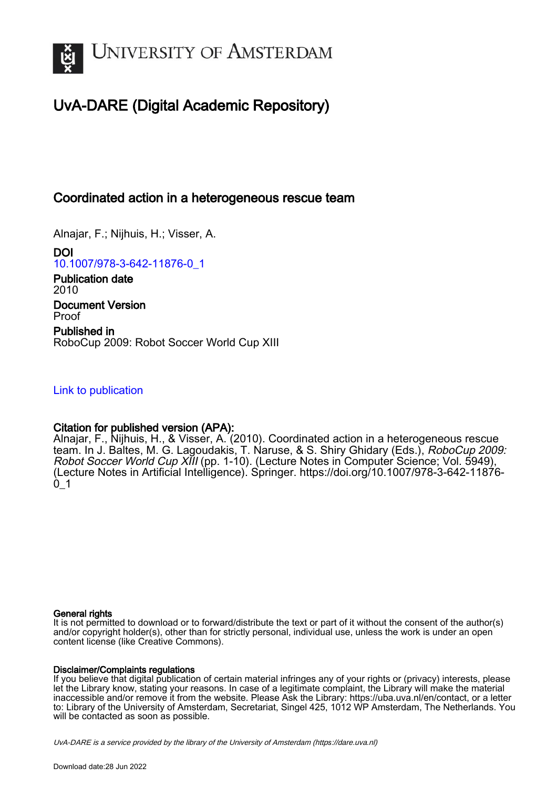

# UvA-DARE (Digital Academic Repository)

# Coordinated action in a heterogeneous rescue team

Alnajar, F.; Nijhuis, H.; Visser, A.

DOI [10.1007/978-3-642-11876-0\\_1](https://doi.org/10.1007/978-3-642-11876-0_1)

Publication date 2010 Document Version Proof Published in RoboCup 2009: Robot Soccer World Cup XIII

## [Link to publication](https://dare.uva.nl/personal/pure/en/publications/coordinated-action-in-a-heterogeneous-rescue-team(5beb4abd-2bd0-4531-84c9-cabf709d5c43).html)

# Citation for published version (APA):

Alnajar, F., Nijhuis, H., & Visser, A. (2010). Coordinated action in a heterogeneous rescue team. In J. Baltes, M. G. Lagoudakis, T. Naruse, & S. Shiry Ghidary (Eds.), RoboCup 2009: Robot Soccer World Cup XIII (pp. 1-10). (Lecture Notes in Computer Science; Vol. 5949), (Lecture Notes in Artificial Intelligence). Springer. [https://doi.org/10.1007/978-3-642-11876-](https://doi.org/10.1007/978-3-642-11876-0_1) [0\\_1](https://doi.org/10.1007/978-3-642-11876-0_1)

### General rights

It is not permitted to download or to forward/distribute the text or part of it without the consent of the author(s) and/or copyright holder(s), other than for strictly personal, individual use, unless the work is under an open content license (like Creative Commons).

### Disclaimer/Complaints regulations

If you believe that digital publication of certain material infringes any of your rights or (privacy) interests, please let the Library know, stating your reasons. In case of a legitimate complaint, the Library will make the material inaccessible and/or remove it from the website. Please Ask the Library: https://uba.uva.nl/en/contact, or a letter to: Library of the University of Amsterdam, Secretariat, Singel 425, 1012 WP Amsterdam, The Netherlands. You will be contacted as soon as possible.

UvA-DARE is a service provided by the library of the University of Amsterdam (http*s*://dare.uva.nl)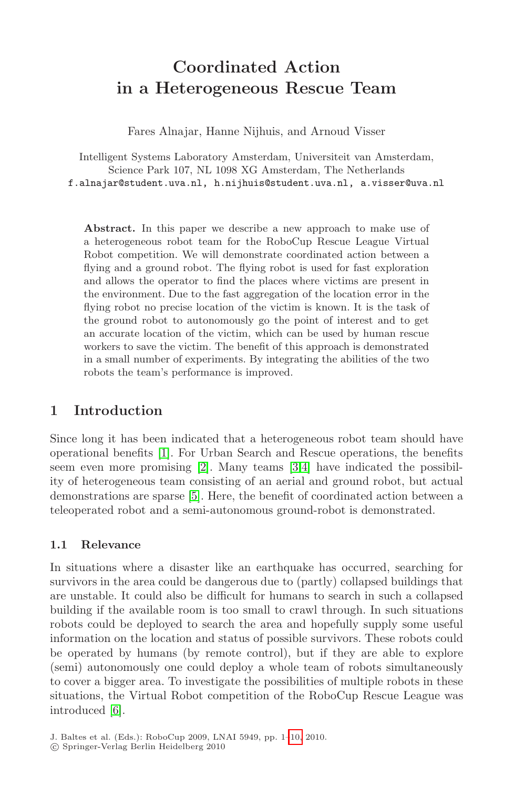# **Coordinated Action in a Heterogeneous Rescue Team**

Fares Alnajar, Hanne Nijhuis, and Arnoud Visser

Intelligent Systems Laboratory Amsterdam, Universiteit van Amsterdam, Science Park 107, NL 1098 XG Amsterdam, The Netherlands f.alnajar@student.uva.nl, h.nijhuis@student.uva.nl, a.visser@uva.nl

**Abstract.** In this paper we describe a new approach to make use of a heterogeneous robot team for the RoboCup Rescue League Virtual Robot competition. We will demonstrate coordinated action between a flying and a ground robot. The flying robot is used for fast exploration and allows the operator to find the places where victims are present in the environment. Due to the fast aggregation of the location error in the flying robot no precise location of the victim is known. It is the task of the ground robot to autonomously go the point of interest and to get an accurate location of the victim, which can be used by human rescue workers to save the victim. The benefit of this approach is demonstrated in [a s](#page-9-0)mall number of e[xp](#page-9-1)[er](#page-9-2)iments. By integrating the abilities of the two robots the team's performance is improved.

### **1 Introduction**

Since long it has been indicated that a heterogeneous robot team should have operational benefits [1]. For Urban Search and Rescue operations, the benefits seem even more promising [2]. Many teams [3,4] have indicated the possibility of heterogeneous team consisting of an aerial and ground robot, but actual demonstrations are sparse [5]. Here, the benefit of coordinated action between a teleoperated robot and a semi-autonomous ground-robot is demonstrated.

### **1.1 Relevance**

In situations where a disaster like an earthquake has occurred, searching for survivors in the area could be dangerous due to (partly) collapsed buildings that are unstable. It could also be difficult for humans to search in such a collapsed building if the available room is too small to crawl through. In such situations robots could be deployed [to s](#page-10-0)earch the area and hopefully supply some useful information on the location and status of possible survivors. These robots could be operated by humans (by remote control), but if they are able to explore (semi) autonomously one could deploy a whole team of robots simultaneously to cover a bigger area. To investigate the possibilities of multiple robots in these situations, the Virtual Robot competition of the RoboCup Rescue League was introduced [6].

J. Baltes et al. (Eds.): RoboCup 2009, LNAI 5949, pp. 1–10, 2010.

<sup>-</sup>c Springer-Verlag Berlin Heidelberg 2010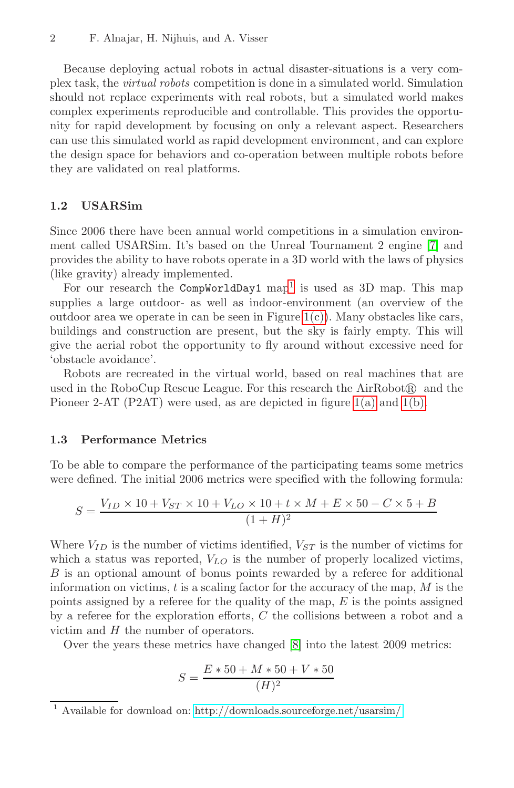### 2 F. Alnajar, H. Nijhuis, and A. Visser

Because deploying actual robots in actual disaster-situations is a very complex task, the *virtual robots* competition is done in a simulated world. Simulation should not replace experiments with real robots, but a simulated world makes complex experiments reproducible and controllable. This provides the opportunity for rapid development by focusing on only a relevant aspect. Researchers can use this simulated world as rapid development env[iro](#page-10-1)nment, and can explore the design space for behaviors and co-operation between multiple robots before they are validated on real [pl](#page-2-0)atforms.

### **1.2 USARSim**

Since 2006 there have been annual world competitions in a simulation environment called USARSim. It's based on the Unreal Tournament 2 engine [7] and provides the ability to have robots operate in a 3D world with the laws of physics (like gravity) already implemented.

For our research the CompWorldDay1 [ma](#page-3-0)p<sup>1</sup> [is use](#page-3-1)d as 3D map. This map supplies a large outdoor- as well as indoor-environment (an overview of the outdoor area we operate in can be seen in Figure  $1(c)$ ). Many obstacles like cars, buildings and construction are present, but the sky is fairly empty. This will give the aerial robot the opportunity to fly around without excessive need for 'obstacle avoidance'.

Robots are recreated in the virtual world, based on real machines that are used in the RoboCup Rescue League. For this research the  $AirRobot@$  and the Pioneer 2-AT (P2AT) were used, as are depicted in figure 1(a) and 1(b).

### **1.3 Performance Metrics**

To be able to compare the performance of the participating teams some metrics were defined. The initial 2006 metrics were specified with the following formula:

$$
S = \frac{V_{ID} \times 10 + V_{ST} \times 10 + V_{LO} \times 10 + t \times M + E \times 50 - C \times 5 + B}{(1 + H)^2}
$$

Where  $V_{ID}$  is the number o[f](#page-10-2) [v](#page-10-2)ictims identified,  $V_{ST}$  is the number of victims for which a status was reported,  $V_{LO}$  is the number of properly localized victims, *B* is an optional amount of bonus points rewarded by a referee for additional information on victims, *t* is a scaling factor for the accuracy of the map, *M* is the points assigned by a referee [for the quality of the](http://downloads.sourcefor ge.net/usarsim/) map, *E* is the points assigned by a referee for the exploration efforts, *C* the collisions between a robot and a victim and *H* the number of operators.

<span id="page-2-0"></span>Over the years these metrics have changed [8] into the latest 2009 metrics:

$$
S = \frac{E * 50 + M * 50 + V * 50}{(H)^2}
$$

<sup>1</sup> Available for download on: http://downloads.sourceforge.net/usarsim/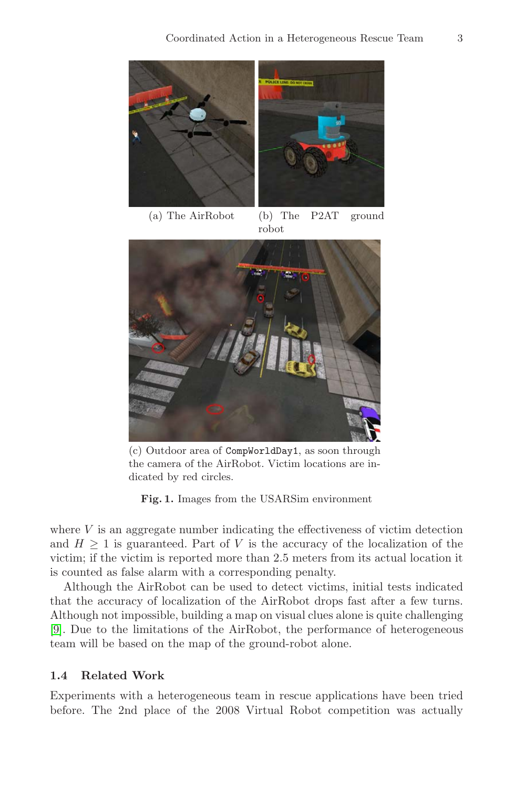<span id="page-3-1"></span>Coordinated Action in a Heterogeneous Rescue Team 3

<span id="page-3-0"></span>

(c) Outdoor area of CompWorldDay1, as soon through the camera of the AirRobot. Victim locations are indicated by red circles.



where  $V$  is an aggregate number indicating the effectiveness of victim detection and  $H \geq 1$  is guaranteed. Part of *V* is the accuracy of the localization of the victim; if the victim is reported more than 2.5 meters from its actual location it is counted as false alarm with a corresponding penalty.

Although the AirRobot can be used to detect victims, initial tests indicated that the accuracy of localization of the AirRobot drops fast after a few turns. Although not impossible, building a map on visual clues alone is quite challenging [9]. Due to the limitations of the AirRobot, the performance of heterogeneous team will be based on the map of the ground-robot alone.

### **1.4 Related Work**

Experiments with a heterogeneous team in rescue applications have been tried before. The 2nd place of the 2008 Virtual Robot competition was actually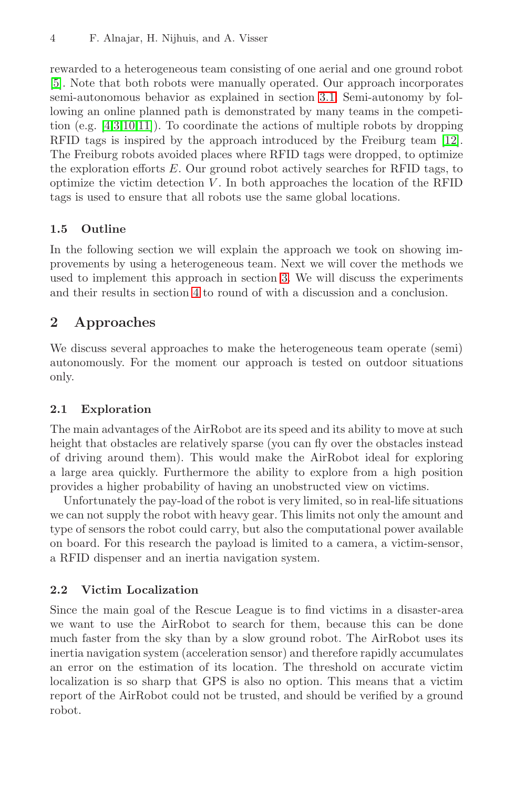rewarded to a heterogeneous team consisting of one aerial and one ground robot [5]. Note that both robots were manually operated. Our approach incorporates semi-autonomous behavior as explained in section 3.1. Semi-autonomy by following an online planned path is demonstrated by many teams in the competition (e.g. [4,3,10,11]). To coordinate the actions of multiple robots by dropping RFID tags is inspired by the approach introduced by the Freiburg team [12]. The Freiburg robots avoided places where RFID tags were dropped, to optimize the exploration efforts *E*. [O](#page-5-0)ur ground robot actively searches for RFID tags, to optimiz[e t](#page-7-0)he victim detection  $V$ . In both approaches the location of the RFID tags is used to ensure that all robots use the same global locations.

### **1.5 Outline**

In the following section we will explain the approach we took on showing improvements by using a heterogeneous team. Next we will cover the methods we used to implement this approach in section 3. We will discuss the experiments and their results in section 4 to round of with a discussion and a conclusion.

### **2 Approaches**

We discuss several approaches to make the heterogeneous team operate (semi) autonomously. For the moment our approach is tested on outdoor situations only.

### **2.1 Exploration**

The main advantages of the AirRobot are its speed and its ability to move at such height that obstacles are relatively sparse (you can fly over the obstacles instead of driving around them). This would make the AirRobot ideal for exploring a large area quickly. Furthermore the ability to explore from a high position provides a higher probability of having an unobstructed view on victims.

Unfortunately the pay-load of the robot is very limited, so in real-life situations we can not supply the robot with heavy gear. This limits not only the amount and type of sensors the robot could carry, but also the computational power available on board. For this research the payload is limited to a camera, a victim-sensor, a RFID dispenser and an inertia navigation system.

### **2.2 Victim Localization**

Since the main goal of the Rescue League is to find victims in a disaster-area we want to use the AirRobot to search for them, because this can be done much faster from the sky than by a slow ground robot. The AirRobot uses its inertia navigation system (acceleration sensor) and therefore rapidly accumulates an error on the estimation of its location. The threshold on accurate victim localization is so sharp that GPS is also no option. This means that a victim report of the AirRobot could not be trusted, and should be verified by a ground robot.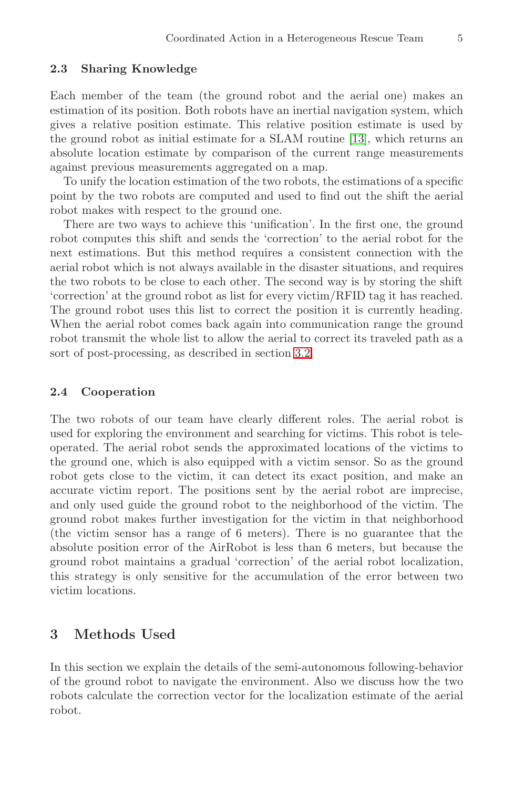### **2.3 Sharing Knowledge**

Each member of the team (the ground robot and the aerial one) makes an estimation of its position. Both robots have an inertial navigation system, which gives a relative position estimate. This relative position estimate is used by the ground robot as initial estimate for a SLAM routine [13], which returns an absolute location estimate by comparison of the current range measurements against previous measurements aggregated on a map.

To unify the location estimation of the two robots, the estimations of a specific point by the two robots are computed and used to find out the shift the aerial robot makes with respect to the ground one.

There are two ways to achieve this 'unification'. In the first one, the ground robot computes this shift a[nd s](#page-6-0)ends the 'correction' to the aerial robot for the next estimations. But this method requires a consistent connection with the aerial robot which is not always available in the disaster situations, and requires the two robots to be close to each other. The second way is by storing the shift 'correction' at the ground robot as list for every victim/RFID tag it has reached. The ground robot uses this list to correct the position it is currently heading. When the aerial robot comes back again into communication range the ground robot transmit the whole list to allow the aerial to correct its traveled path as a sort of post-processing, as described in section 3.2.

### **2.4 Cooperation**

<span id="page-5-0"></span>The two robots of our team have clearly different roles. The aerial robot is used for exploring the environment and searching for victims. This robot is teleoperated. The aerial robot sends the approximated locations of the victims to the ground one, which is also equipped with a victim sensor. So as the ground robot gets close to the victim, it can detect its exact position, and make an accurate victim report. The positions sent by the aerial robot are imprecise, and only used guide the ground robot to the neighborhood of the victim. The ground robot makes further investigation for the victim in that neighborhood (the victim sensor has a range of 6 meters). There is no guarantee that the absolute position error of the AirRobot is less than 6 meters, but because the ground robot maintains a gradual 'correction' of the aerial robot localization, this strategy is only sensitive for the accumulation of the error between two victim locations.

### **3 Methods Used**

In this section we explain the details of the semi-autonomous following-behavior of the ground robot to navigate the environment. Also we discuss how the two robots calculate the correction vector for the localization estimate of the aerial robot.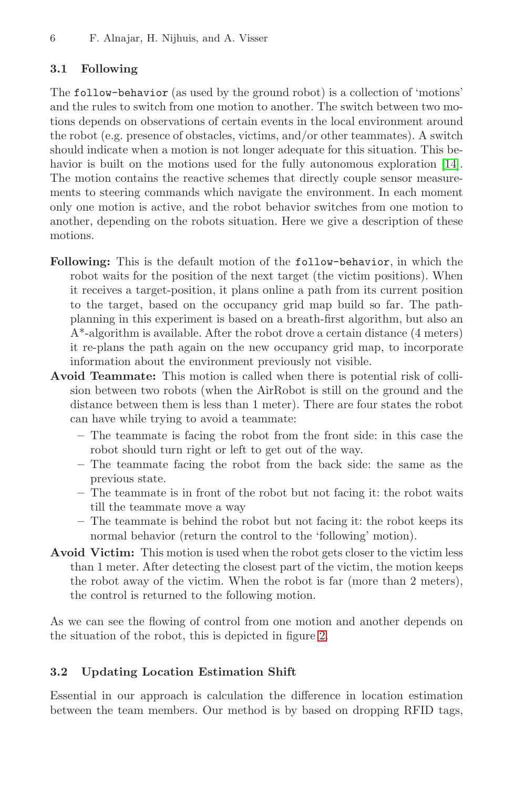### **3.1 Following**

The follow-behavior (as used by the ground robot) is a collection of 'motions' and the rules to switch from one motion to another. The switch between two motions depends on observations of certain events in the local environment around the robot (e.g. presence of obstacles, victims, and/or other teammates). A switch should indicate when a motion is not longer adequate for this situation. This behavior is built on the motions used for the fully autonomous exploration [14]. The motion contains the reactive schemes that directly couple sensor measurements to steering commands which navigate the environment. In each moment only one motion is active, and the robot behavior switches from one motion to another, depending on the robots situation. Here we give a description of these motions.

- **Following:** This is the default motion of the follow-behavior, in which the robot waits for the position of the next target (the victim positions). When it receives a target-position, it plans online a path from its current position to the target, based on the occupancy grid map build so far. The pathplanning in this experiment is based on a breath-first algorithm, but also an A\*-algorithm is available. After the robot drove a certain distance (4 meters) it re-plans the path again on the new occupancy grid map, to incorporate information about the environment previously not visible.
- **Avoid Teammate:** This motion is called when there is potential risk of collision between two robots (when the AirRobot is still on the ground and the distance between them is less than 1 meter). There are four states the robot can have while trying to avoid a teammate:
	- **–** The teammate is facing the robot from the front side: in this case the robot should turn right or left to get out of the way.
	- **–** The teammate facing the robot from the back side: the same as the previous state.
	- **–** The teammate is in front of the robot but not facing it: the robot waits till the teammate move a way
	- **–** The teammate is behind [th](#page-7-1)e robot but not facing it: the robot keeps its normal behavior (return the control to the 'following' motion).
- <span id="page-6-0"></span>**Avoid Victim:** This motion is used when the robot gets closer to the victim less than 1 meter. After detecting the closest part of the victim, the motion keeps the robot away of the victim. When the robot is far (more than 2 meters), the control is returned to the following motion.

As we can see the flowing of control from one motion and another depends on the situation of the robot, this is depicted in figure 2.

### **3.2 Updating Location Estimation Shift**

Essential in our approach is calculation the difference in location estimation between the team members. Our method is by based on dropping RFID tags,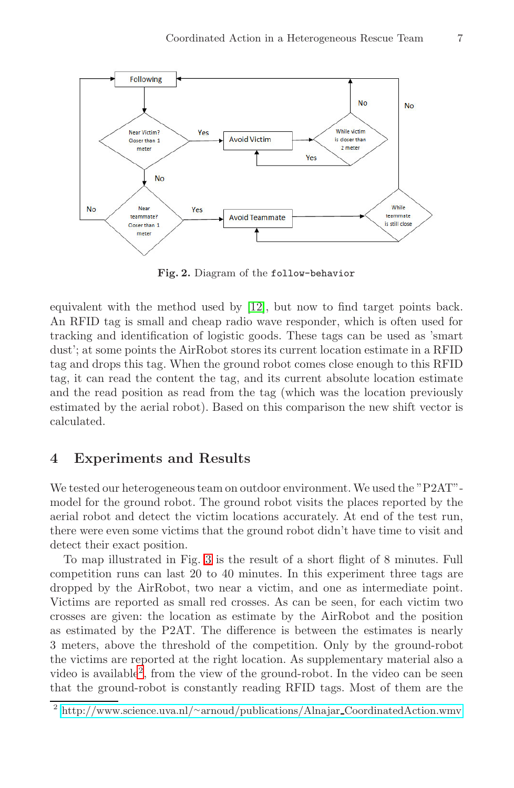

<span id="page-7-1"></span>**Fig. 2.** Diagram of the follow-behavior

<span id="page-7-0"></span>equivalent with the method used by [12], but now to find target points back. An RFID tag is small and cheap radio wave responder, which is often used for tracking and identification of logistic goods. These tags can be used as 'smart dust'; at some points the AirRobot stores its current location estimate in a RFID tag and drops this tag. When the ground robot comes close enough to this RFID tag, it can read the content the tag, and its current absolute location estimate and the read position as read from the tag (which was the location previously estimated by the aerial robot). Based on this comparison the new shift vector is calculated.

### **4 Exp[er](#page-8-0)iments and Results**

We tested our heterogeneous team on outdoor environment. We used the "P2AT"model for the ground robot. The ground robot visits the places reported by the aerial robot and detect the victim locations accurately. At end of the test run, there were even some victims that the ground robot didn't have time to visit and detect their exact position.

To map illustrated in Fig. 3 is the result of a short flight of 8 minutes. Full competition runs can last 20 to 40 minutes. In this experiment three tags are dropped by the AirRobot, two near a victim, and one as intermediate point. [Victims are reported as small red crosses. As can be seen, fo](http://www.science.uva.nl/~arnoud/publications/Alnajar_CoordinatedAction.wmv)r each victim two crosses are given: the location as estimate by the AirRobot and the position as estimated by the P2AT. The difference is between the estimates is nearly 3 meters, above the threshold of the competition. Only by the ground-robot the victims are reported at the right location. As supplementary material also a video is available<sup>2</sup>, from the view of the ground-robot. In the video can be seen that the ground-robot is constantly reading RFID tags. Most of them are the

<sup>2</sup> http://www.science.uva.nl/∼arnoud/publications/Alnajar CoordinatedAction.wmv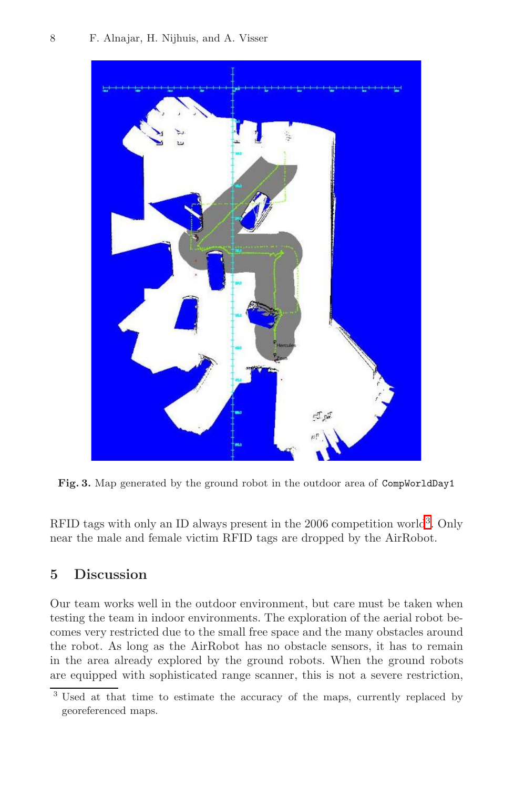# r:T si

### 8 F. Alnajar, H. Nijhuis, and A. Visser

<span id="page-8-0"></span>Fig. 3. Map generated by the ground robot in the outdoor area of CompWorldDay1

RFID tags with only an ID always present in the  $2006$  competition world<sup>3</sup>. Only near the male and female victim RFID tags are dropped by the AirRobot.

### **5 Discussion**

Our team works well in the outdoor environment, but care must be taken when testing the team in indoor environments. The exploration of the aerial robot becomes very restricted due to the small free space and the many obstacles around the robot. As long as the AirRobot has no obstacle sensors, it has to remain in the area already explored by the ground robots. When the ground robots are equipped with sophisticated range scanner, this is not a severe restriction,

<sup>&</sup>lt;sup>3</sup> Used at that time to estimate the accuracy of the maps, currently replaced by georeferenced maps.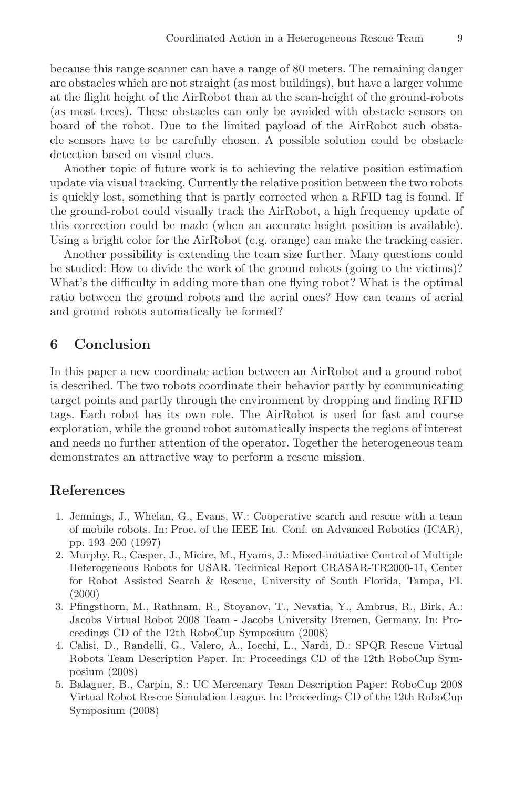because this range scanner can have a range of 80 meters. The remaining danger are obstacles which are not straight (as most buildings), but have a larger volume at the flight height of the AirRobot than at the scan-height of the ground-robots (as most trees). These obstacles can only be avoided with obstacle sensors on board of the robot. Due to the limited payload of the AirRobot such obstacle sensors have to be carefully chosen. A possible solution could be obstacle detection based on visual clues.

Another topic of future work is to achieving the relative position estimation update via visual tracking. Currently the relative position between the two robots is quickly lost, something that is partly corrected when a RFID tag is found. If the ground-robot could visually track the AirRobot, a high frequency update of this correction could be made (when an accurate height position is available). Using a bright color for the AirRobot (e.g. orange) can make the tracking easier.

Another possibility is extending the team size further. Many questions could be studied: How to divide the work of the ground robots (going to the victims)? What's the difficulty in adding more than one flying robot? What is the optimal ratio between the ground robots and the aerial ones? How can teams of aerial and ground robots automatically be formed?

### **6 Conclusion**

In this paper a new coordinate action between an AirRobot and a ground robot is described. The two robots coordinate their behavior partly by communicating target points and partly through the environment by dropping and finding RFID tags. Each robot has its own role. The AirRobot is used for fast and course exploration, while the ground robot automatically inspects the regions of interest and needs no further attention of the operator. Together the heterogeneous team demonstrates an attractive way to perform a rescue mission.

### **References**

- 1. Jennings, J., Whelan, G., Evans, W.: Cooperative search and rescue with a team of mobile robots. In: Proc. of the IEEE Int. Conf. on Advanced Robotics (ICAR), pp. 193–200 (1997)
- <span id="page-9-0"></span>2. Murphy, R., Casper, J., Micire, M., Hyams, J.: Mixed-initiative Control of Multiple Heterogeneous Robots for USAR. Technical Report CRASAR-TR2000-11, Center for Robot Assisted Search & Rescue, University of South Florida, Tampa, FL (2000)
- <span id="page-9-1"></span>3. Pfingsthorn, M., Rathnam, R., Stoyanov, T., Nevatia, Y., Ambrus, R., Birk, A.: Jacobs Virtual Robot 2008 Team - Jacobs University Bremen, Germany. In: Proceedings CD of the 12th RoboCup Symposium (2008)
- <span id="page-9-2"></span>4. Calisi, D., Randelli, G., Valero, A., Iocchi, L., Nardi, D.: SPQR Rescue Virtual Robots Team Description Paper. In: Proceedings CD of the 12th RoboCup Symposium (2008)
- 5. Balaguer, B., Carpin, S.: UC Mercenary Team Description Paper: RoboCup 2008 Virtual Robot Rescue Simulation League. In: Proceedings CD of the 12th RoboCup Symposium (2008)